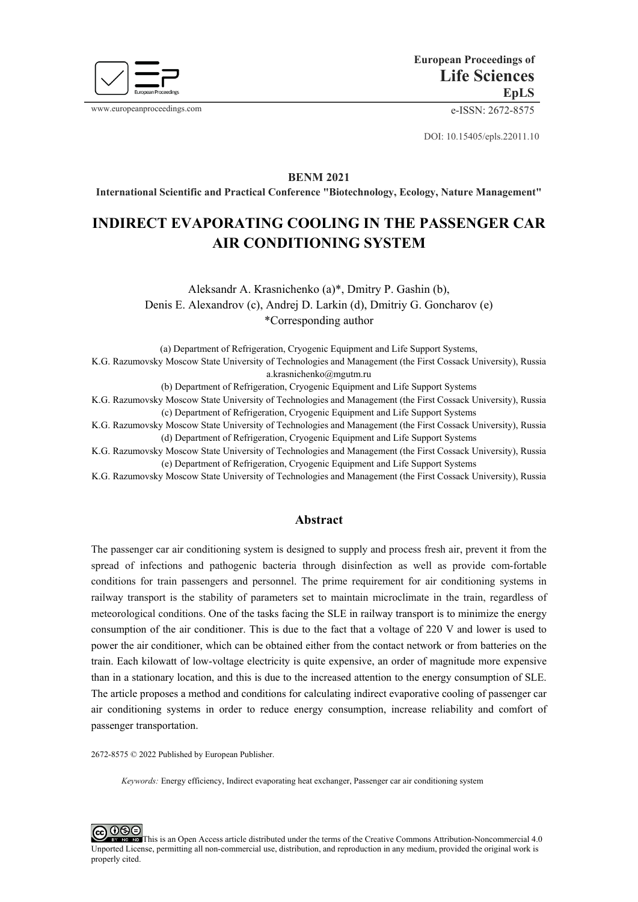

www.europeanproceedings.com e-ISSN: 2672-8575

DOI: 10.15405/epls.22011.10

**BENM 2021**

**International Scientific and Practical Conference "Biotechnology, Ecology, Nature Management"**

# **INDIRECT EVAPORATING COOLING IN THE PASSENGER CAR AIR CONDITIONING SYSTEM**

Aleksandr A. Krasnichenko (a)\*, Dmitry P. Gashin (b), Denis E. Alexandrov (c), Andrej D. Larkin (d), Dmitriy G. Goncharov (e) \*Corresponding author

(a) Department of Refrigeration, Cryogenic Equipment and Life Support Systems,

K.G. Razumovsky Moscow State University of Technologies and Management (the First Cossack University), Russia a.krasnichenko@mgutm.ru

(b) Department of Refrigeration, Cryogenic Equipment and Life Support Systems

K.G. Razumovsky Moscow State University of Technologies and Management (the First Cossack University), Russia (c) Department of Refrigeration, Cryogenic Equipment and Life Support Systems

K.G. Razumovsky Moscow State University of Technologies and Management (the First Cossack University), Russia (d) Department of Refrigeration, Cryogenic Equipment and Life Support Systems

K.G. Razumovsky Moscow State University of Technologies and Management (the First Cossack University), Russia (e) Department of Refrigeration, Cryogenic Equipment and Life Support Systems

K.G. Razumovsky Moscow State University of Technologies and Management (the First Cossack University), Russia

### **Abstract**

The passenger car air conditioning system is designed to supply and process fresh air, prevent it from the spread of infections and pathogenic bacteria through disinfection as well as provide com-fortable conditions for train passengers and personnel. The prime requirement for air conditioning systems in railway transport is the stability of parameters set to maintain microclimate in the train, regardless of meteorological conditions. One of the tasks facing the SLE in railway transport is to minimize the energy consumption of the air conditioner. This is due to the fact that a voltage of 220 V and lower is used to power the air conditioner, which can be obtained either from the contact network or from batteries on the train. Each kilowatt of low-voltage electricity is quite expensive, an order of magnitude more expensive than in a stationary location, and this is due to the increased attention to the energy consumption of SLE. The article proposes a method and conditions for calculating indirect evaporative cooling of passenger car air conditioning systems in order to reduce energy consumption, increase reliability and comfort of passenger transportation.

2672-8575 © 2022 Published by European Publisher.

*Keywords:* Energy efficiency, Indirect evaporating heat exchanger, Passenger car air conditioning system

**@** 0ெ This is an Open Access article distributed under the terms of the Creative Commons Attribution-Noncommercial 4.0 Unported License, permitting all non-commercial use, distribution, and reproduction in any medium, provided the original work is properly cited.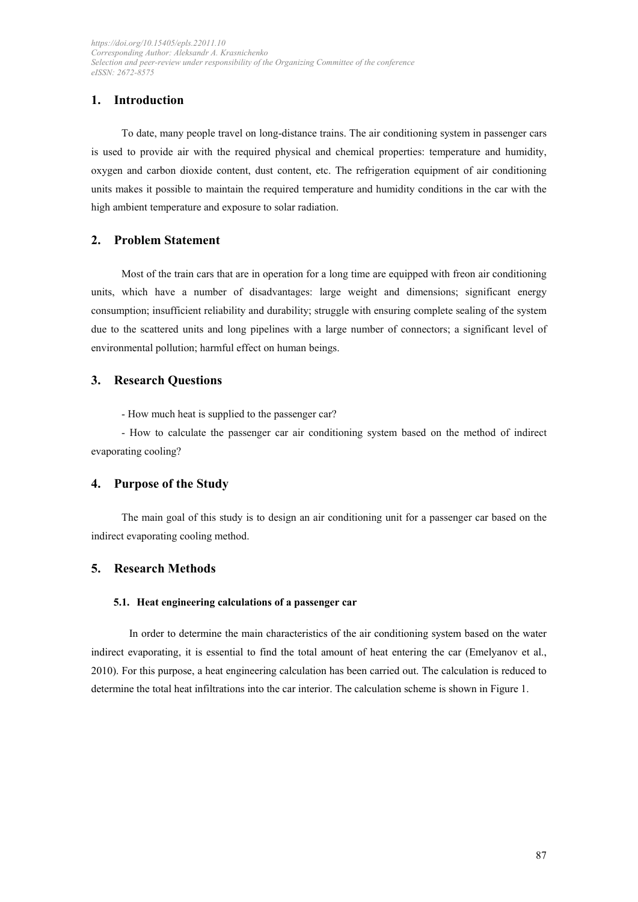# **1. Introduction**

To date, many people travel on long-distance trains. The air conditioning system in passenger cars is used to provide air with the required physical and chemical properties: temperature and humidity, oxygen and carbon dioxide content, dust content, etc. The refrigeration equipment of air conditioning units makes it possible to maintain the required temperature and humidity conditions in the car with the high ambient temperature and exposure to solar radiation.

# **2. Problem Statement**

Most of the train cars that are in operation for a long time are equipped with freon air conditioning units, which have a number of disadvantages: large weight and dimensions; significant energy consumption; insufficient reliability and durability; struggle with ensuring complete sealing of the system due to the scattered units and long pipelines with a large number of connectors; a significant level of environmental pollution; harmful effect on human beings.

### **3. Research Questions**

- How much heat is supplied to the passenger car?

- How to calculate the passenger car air conditioning system based on the method of indirect evaporating cooling?

# **4. Purpose of the Study**

The main goal of this study is to design an air conditioning unit for a passenger car based on the indirect evaporating cooling method.

# **5. Research Methods**

### **5.1. Heat engineering calculations of a passenger car**

In order to determine the main characteristics of the air conditioning system based on the water indirect evaporating, it is essential to find the total amount of heat entering the car (Emelyanov et al., 2010). For this purpose, a heat engineering calculation has been carried out. The calculation is reduced to determine the total heat infiltrations into the car interior. The calculation scheme is shown in Figure 1.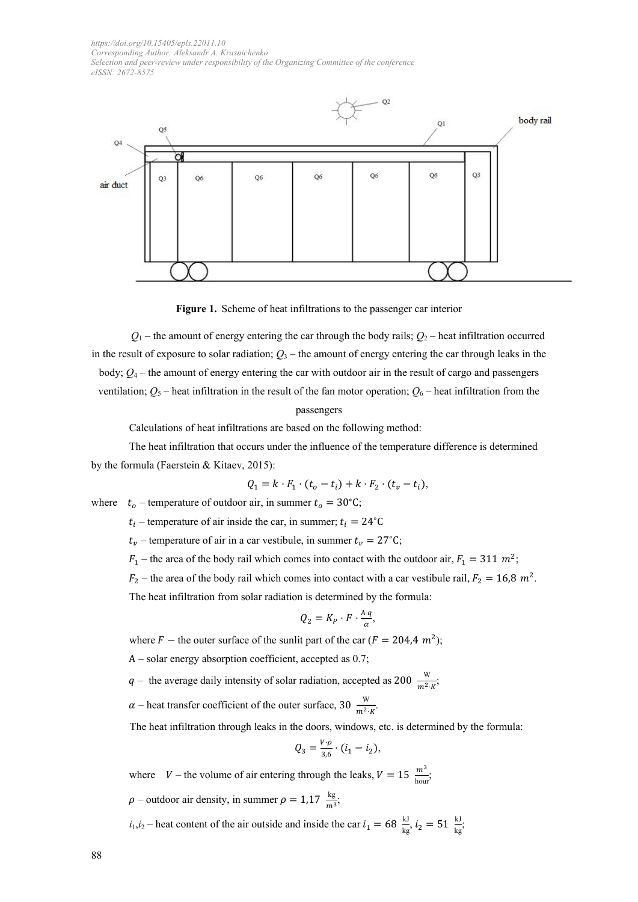

**Figure 1.** Scheme of heat infiltrations to the passenger car interior

 $Q_1$  – the amount of energy entering the car through the body rails;  $Q_2$  – heat infiltration occurred in the result of exposure to solar radiation;  $Q_3$  – the amount of energy entering the car through leaks in the body;  $Q_4$  – the amount of energy entering the car with outdoor air in the result of cargo and passengers ventilation;  $Q_5$  – heat infiltration in the result of the fan motor operation;  $Q_6$  – heat infiltration from the

#### passengers

Calculations of heat infiltrations are based on the following method:

The heat infiltration that occurs under the influence of the temperature difference is determined by the formula (Faerstein & Kitaev, 2015):

$$
Q_1 = k \cdot F_1 \cdot (t_o - t_i) + k \cdot F_2 \cdot (t_v - t_i),
$$

where  $t_o$  – temperature of outdoor air, in summer  $t_o = 30^{\circ}$ C;

 $t_i$  – temperature of air inside the car, in summer;  $t_i = 24$ °C

 $t_v$  – temperature of air in a car vestibule, in summer  $t_v = 27$ °C;

 $F_1$  – the area of the body rail which comes into contact with the outdoor air,  $F_1 = 311 \, m^2$ ;

 $F_2$  – the area of the body rail which comes into contact with a car vestibule rail,  $F_2 = 16.8$   $m^2$ .

The heat infiltration from solar radiation is determined by the formula:

$$
Q_2 = K_P \cdot F \cdot \frac{A \cdot q}{\alpha},
$$

where  $F$  – the outer surface of the sunlit part of the car ( $F = 204.4 \, m^2$ );

А – solar energy absorption coefficient, accepted as 0.7;

q – the average daily intensity of solar radiation, accepted as 200  $\frac{w}{m^2 \cdot k}$ ;

 $\alpha$  – heat transfer coefficient of the outer surface, 30  $\frac{W}{m^2 \cdot K}$ .

The heat infiltration through leaks in the doors, windows, etc. is determined by the formula:

$$
Q_3 = \frac{V \cdot \rho}{3.6} \cdot (i_1 - i_2),
$$

where  $V$  – the volume of air entering through the leaks,  $V = 15 \frac{m^3}{\text{hour}}$ ;  $\rho$  – outdoor air density, in summer  $\rho = 1.17 \frac{\text{kg}}{\text{m}^3}$ ;

 $i_1, i_2$  – heat content of the air outside and inside the car  $i_1 = 68 \frac{kl}{kg}$ ,  $i_2 = 51 \frac{kl}{kg}$ ;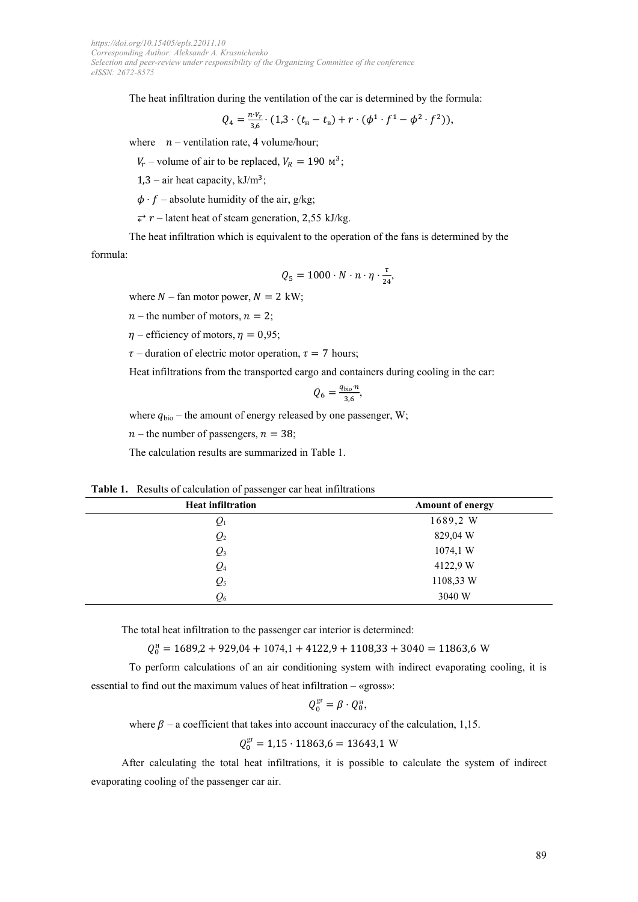The heat infiltration during the ventilation of the car is determined by the formula:

$$
Q_4 = \frac{n \cdot V_r}{3.6} \cdot (1.3 \cdot (t_{\rm H} - t_{\rm B}) + r \cdot (\phi^1 \cdot f^1 - \phi^2 \cdot f^2)),
$$

where  $n$  – ventilation rate, 4 volume/hour;

 $V_r$  – volume of air to be replaced,  $V_R = 190 \text{ m}^3$ ;

1,3 – air heat capacity,  $kJ/m^3$ ;

 $\phi \cdot f$  – absolute humidity of the air, g/kg;

 $\overrightarrow{\epsilon}$  r – latent heat of steam generation, 2,55 kJ/kg.

The heat infiltration which is equivalent to the operation of the fans is determined by the formula:

$$
Q_5 = 1000 \cdot N \cdot n \cdot \eta \cdot \frac{\tau}{24},
$$

where  $N$  – fan motor power,  $N = 2$  kW;

 $n$  – the number of motors,  $n = 2$ ;

 $\eta$  – efficiency of motors,  $\eta$  = 0,95;

 $\tau$  – duration of electric motor operation,  $\tau$  = 7 hours;

Heat infiltrations from the transported cargo and containers during cooling in the car:

$$
Q_6 = \frac{q_{\text{bio}} \cdot n}{3.6},
$$

where  $q_{bio}$  – the amount of energy released by one passenger, W;

 $n$  – the number of passengers,  $n = 38$ ;

The calculation results are summarized in Table 1.

**Table 1.** Results of calculation of passenger car heat infiltrations **Heat infiltration Amount of energy**

| <b>Heat inflitration</b> | Amount of energy |
|--------------------------|------------------|
| $\mathcal{Q}_1$          | 1689,2 W         |
| $Q_{2}$                  | 829,04 W         |
| $Q_3$                    | 1074,1 W         |
| $Q_4$                    | 4122,9 W         |
| $Q_5$                    | 1108,33 W        |
| $\mathcal{Q}_6$          | 3040 W           |
|                          |                  |

The total heat infiltration to the passenger car interior is determined:

 $Q_0^{\text{H}} = 1689,2 + 929,04 + 1074,1 + 4122,9 + 1108,33 + 3040 = 11863,6 \text{ W}$ 

To perform calculations of an air conditioning system with indirect evaporating cooling, it is essential to find out the maximum values of heat infiltration – «gross»:

$$
Q_0^{\rm gr} = \beta \cdot Q_0^{\rm H},
$$

where  $\beta$  – a coefficient that takes into account inaccuracy of the calculation, 1,15.

 $Q_0^{\text{gr}} = 1,15 \cdot 11863, 6 = 13643, 1 \text{ W}$ 

After calculating the total heat infiltrations, it is possible to calculate the system of indirect evaporating cooling of the passenger car air.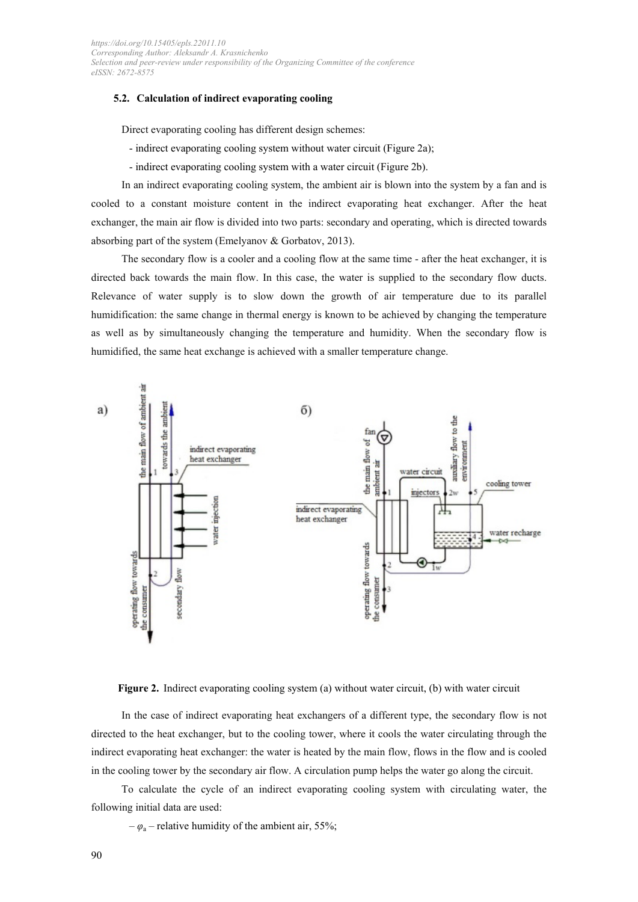### **5.2. Calculation of indirect evaporating cooling**

Direct evaporating cooling has different design schemes:

- indirect evaporating cooling system without water circuit (Figure 2a);
- indirect evaporating cooling system with a water circuit (Figure 2b).

In an indirect evaporating cooling system, the ambient air is blown into the system by a fan and is cooled to a constant moisture content in the indirect evaporating heat exchanger. After the heat exchanger, the main air flow is divided into two parts: secondary and operating, which is directed towards absorbing part of the system (Emelyanov & Gorbatov, 2013).

The secondary flow is a cooler and a cooling flow at the same time - after the heat exchanger, it is directed back towards the main flow. In this case, the water is supplied to the secondary flow ducts. Relevance of water supply is to slow down the growth of air temperature due to its parallel humidification: the same change in thermal energy is known to be achieved by changing the temperature as well as by simultaneously changing the temperature and humidity. When the secondary flow is humidified, the same heat exchange is achieved with a smaller temperature change.



**Figure 2.** Indirect evaporating cooling system (a) without water circuit, (b) with water circuit

In the case of indirect evaporating heat exchangers of a different type, the secondary flow is not directed to the heat exchanger, but to the cooling tower, where it cools the water circulating through the indirect evaporating heat exchanger: the water is heated by the main flow, flows in the flow and is cooled in the cooling tower by the secondary air flow. A circulation pump helps the water go along the circuit.

To calculate the cycle of an indirect evaporating cooling system with circulating water, the following initial data are used:

 $-\varphi$ <sub>a</sub> – relative humidity of the ambient air, 55%;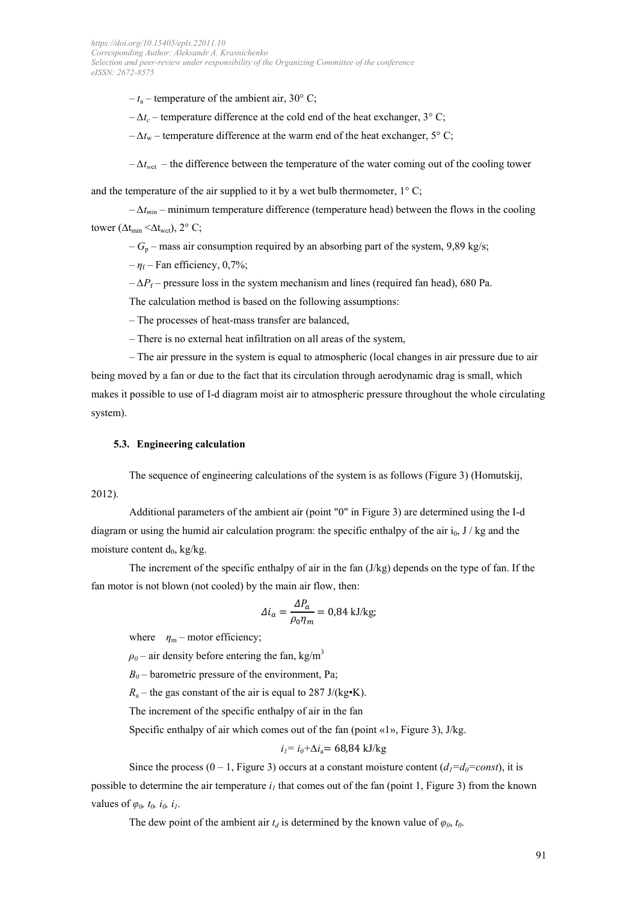$-t_a$  – temperature of the ambient air, 30° C;

 $-\Delta t_c$  – temperature difference at the cold end of the heat exchanger, 3° C;

 $-\Delta t_{\rm w}$  – temperature difference at the warm end of the heat exchanger, 5° C;

– *∆tw*ct – the difference between the temperature of the water coming out of the cooling tower

and the temperature of the air supplied to it by a wet bulb thermometer,  $1^{\circ}$  C;

– *∆tmin* – minimum temperature difference (temperature head) between the flows in the cooling tower ( $\Delta t_{\text{min}} \leq \Delta t_{\text{wct}}$ ), 2° C;

 $-G_p$  – mass air consumption required by an absorbing part of the system, 9,89 kg/s;

 $-\eta_f$  – Fan efficiency, 0,7%;

 $-\Delta P_f$  – pressure loss in the system mechanism and lines (required fan head), 680 Pa.

The calculation method is based on the following assumptions:

– The processes of heat-mass transfer are balanced,

– There is no external heat infiltration on all areas of the system,

– The air pressure in the system is equal to atmospheric (local changes in air pressure due to air being moved by a fan or due to the fact that its circulation through aerodynamic drag is small, which makes it possible to use of I-d diagram moist air to atmospheric pressure throughout the whole circulating system).

### **5.3. Engineering calculation**

The sequence of engineering calculations of the system is as follows (Figure 3) (Homutskij, 2012).

Additional parameters of the ambient air (point "0" in Figure 3) are determined using the I-d diagram or using the humid air calculation program: the specific enthalpy of the air  $i_0$ , J / kg and the moisture content  $d_0$ , kg/kg.

The increment of the specific enthalpy of air in the fan (J/kg) depends on the type of fan. If the fan motor is not blown (not cooled) by the main air flow, then:

$$
\Delta i_a = \frac{\Delta P_a}{\rho_0 \eta_m} = 0.84 \text{ kJ/kg};
$$

where  $\eta_{\rm m}$  – motor efficiency;

 $\rho$ <sub>0</sub> – air density before entering the fan, kg/m<sup>3</sup>

 $B_0$  – barometric pressure of the environment, Pa;

 $R_a$  – the gas constant of the air is equal to 287 J/(kg $\cdot$ K).

The increment of the specific enthalpy of air in the fan

Specific enthalpy of air which comes out of the fan (point «1», Figure 3), J/kg.

### *i<sub>1</sub>*= *i<sub>0</sub>*<sup>+</sup>∆*i*<sub>a</sub>= 68,84 kJ/kg

Since the process  $(0 - 1,$  Figure 3) occurs at a constant moisture content  $(d_1 = d_0 = const)$ , it is possible to determine the air temperature  $i<sub>i</sub>$  that comes out of the fan (point 1, Figure 3) from the known values of  $\varphi_0$ ,  $t_0$ ,  $i_0$ ,  $i_1$ .

The dew point of the ambient air  $t_d$  is determined by the known value of  $\varphi_0$ ,  $t_0$ .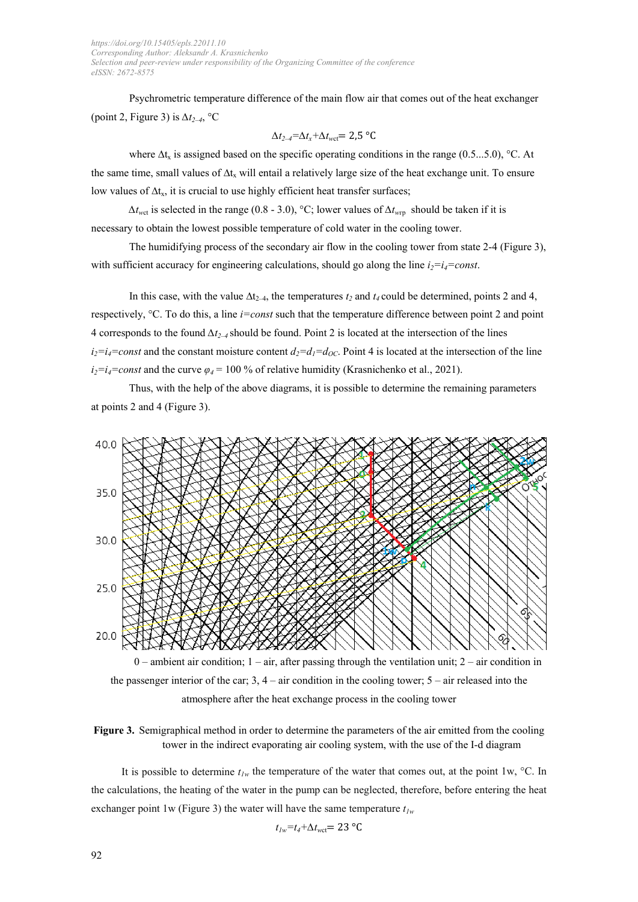Psychrometric temperature difference of the main flow air that comes out of the heat exchanger (point 2, Figure 3) is *∆t2–4*, °С

$$
\Delta t_{2\rightarrow} = \Delta t_x + \Delta t_{\text{wct}} = 2.5 \text{ °C}
$$

where  $\Delta t_x$  is assigned based on the specific operating conditions in the range (0.5...5.0), °C. At the same time, small values of  $\Delta t_x$  will entail a relatively large size of the heat exchange unit. To ensure low values of  $\Delta t_x$ , it is crucial to use highly efficient heat transfer surfaces;

*∆t<sub>wet</sub>* is selected in the range (0.8 - 3.0), °C; lower values of  $Δt_{wrp}$  should be taken if it is necessary to obtain the lowest possible temperature of cold water in the cooling tower.

The humidifying process of the secondary air flow in the cooling tower from state 2-4 (Figure 3), with sufficient accuracy for engineering calculations, should go along the line  $i_2=i_4=const$ .

In this case, with the value  $\Delta t_{2-4}$ , the temperatures  $t_2$  and  $t_4$  could be determined, points 2 and 4, respectively, °C. To do this, a line *i=const* such that the temperature difference between point 2 and point 4 corresponds to the found *∆t2–4* should be found. Point 2 is located at the intersection of the lines  $i_2=i_4=const$  and the constant moisture content  $d_2=d_1=d_0C$ . Point 4 is located at the intersection of the line  $i_2=i_4=const$  and the curve  $\varphi_4=100\%$  of relative humidity (Krasnichenko et al., 2021).

Thus, with the help of the above diagrams, it is possible to determine the remaining parameters at points 2 and 4 (Figure 3).



 $0$  – ambient air condition;  $1 - \text{air}$ , after passing through the ventilation unit;  $2 - \text{air}$  condition in the passenger interior of the car;  $3, 4$  – air condition in the cooling tower;  $5$  – air released into the atmosphere after the heat exchange process in the cooling tower

**Figure 3.** Semigraphical method in order to determine the parameters of the air emitted from the cooling tower in the indirect evaporating air cooling system, with the use of the I-d diagram

It is possible to determine  $t_{1w}$  the temperature of the water that comes out, at the point 1w,  $^{\circ}$ C. In the calculations, the heating of the water in the pump can be neglected, therefore, before entering the heat exchanger point 1w (Figure 3) the water will have the same temperature  $t_{1w}$ 

 $t_{1w}=t_4+\Delta t_{wct}=$  23 °C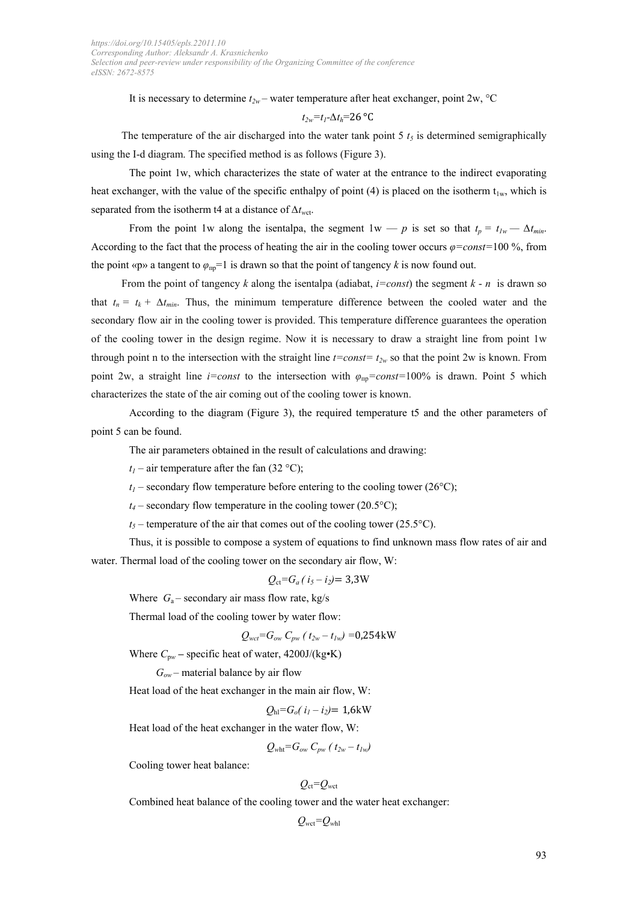It is necessary to determine  $t_{2w}$  – water temperature after heat exchanger, point 2w, °C

$$
t_{2w}=t_{I}-\Delta t_{h}=26\ ^{\circ}\mathrm{C}
$$

The temperature of the air discharged into the water tank point  $5 t<sub>5</sub>$  is determined semigraphically using the I-d diagram. The specified method is as follows (Figure 3).

The point 1w, which characterizes the state of water at the entrance to the indirect evaporating heat exchanger, with the value of the specific enthalpy of point (4) is placed on the isotherm  $t_{1w}$ , which is separated from the isotherm t4 at a distance of *∆tw*ct.

From the point 1w along the isentalpa, the segment  $1w - p$  is set so that  $t_p = t_{lw} - \Delta t_{min}$ . According to the fact that the process of heating the air in the cooling tower occurs *φ=const=*100 %, from the point «p» a tangent to  $\varphi_{\text{np}} = 1$  is drawn so that the point of tangency *k* is now found out.

From the point of tangency *k* along the isentalpa (adiabat, *i=const*) the segment *k* - *n* is drawn so that  $t_n = t_k + \Delta t_{min}$ . Thus, the minimum temperature difference between the cooled water and the secondary flow air in the cooling tower is provided. This temperature difference guarantees the operation of the cooling tower in the design regime. Now it is necessary to draw a straight line from point 1w through point n to the intersection with the straight line  $t=const=t_{2w}$  so that the point 2w is known. From point 2w, a straight line *i=const* to the intersection with  $\varphi_{np}=const=100\%$  is drawn. Point 5 which characterizes the state of the air coming out of the cooling tower is known.

According to the diagram (Figure 3), the required temperature t5 and the other parameters of point 5 can be found.

The air parameters obtained in the result of calculations and drawing:

 $t_1$  – air temperature after the fan (32 °C);

 $t_1$  – secondary flow temperature before entering to the cooling tower (26 $^{\circ}$ C);

 $t_4$  – secondary flow temperature in the cooling tower (20.5 $\textdegree$ C);

 $t_5$  – temperature of the air that comes out of the cooling tower (25.5°C).

Thus, it is possible to compose a system of equations to find unknown mass flow rates of air and water. Thermal load of the cooling tower on the secondary air flow, W:

$$
Q_{\rm ct}=G_a(i_5-i_2)=3.3\,\rm W
$$

Where  $G_a$ – secondary air mass flow rate, kg/s

Thermal load of the cooling tower by water flow:

$$
Q_{wct} = G_{ow} C_{pw} (t_{2w} - t_{lw}) = 0.254 \text{kW}
$$

Where *С*<sup>p</sup>*<sup>w</sup>* **–** specific heat of water, 4200J/(kg•K)

 $G_{ow}$  – material balance by air flow

Heat load of the heat exchanger in the main air flow, W:

$$
Q_{\rm hl}
$$
= $G_o(i_1 - i_2)$ = 1,6kW

Heat load of the heat exchanger in the water flow, W:

$$
Q_{\text{wht}}=G_{\text{ow}}\,C_{\text{pw}}\left(t_{\text{2w}}-t_{\text{1w}}\right)
$$

Cooling tower heat balance:

$$
Q_{\rm ct} = Q_{\rm wct}
$$

Combined heat balance of the cooling tower and the water heat exchanger:

$$
Q_{\rm wct} = Q_{\rm whl}
$$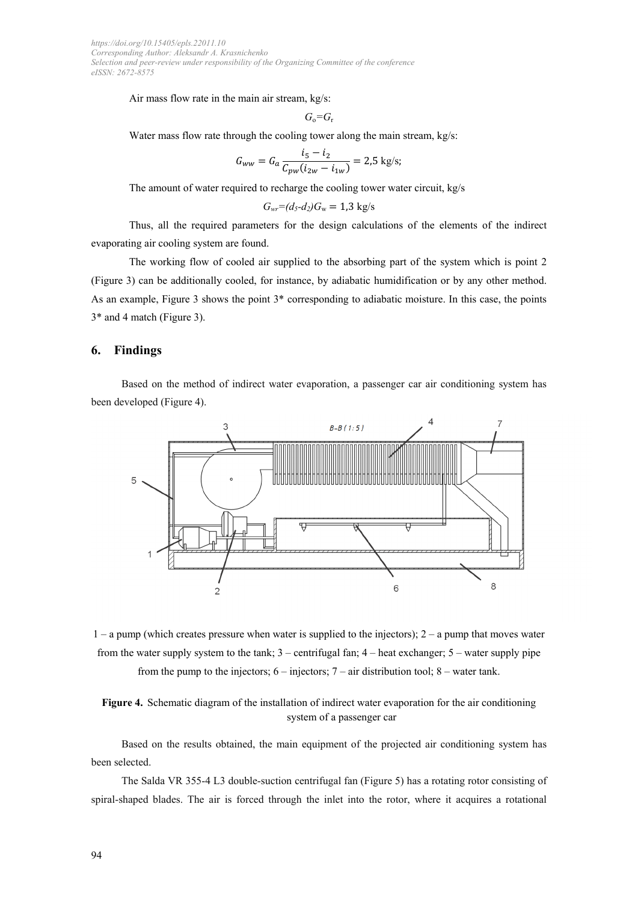Air mass flow rate in the main air stream, kg/s:

$$
G_{\rm o}\text{=}G_{\rm r}
$$

Water mass flow rate through the cooling tower along the main stream, kg/s:

$$
G_{ww} = G_a \frac{i_5 - i_2}{C_{pw}(i_{2w} - i_{1w})} = 2.5 \text{ kg/s};
$$

The amount of water required to recharge the cooling tower water circuit, kg/s

$$
G_{\rm wr} = (d_5 - d_2)G_{\rm w} = 1.3 \, \text{kg/s}
$$

Thus, all the required parameters for the design calculations of the elements of the indirect evaporating air cooling system are found.

The working flow of cooled air supplied to the absorbing part of the system which is point 2 (Figure 3) can be additionally cooled, for instance, by adiabatic humidification or by any other method. As an example, Figure 3 shows the point 3\* corresponding to adiabatic moisture. In this case, the points 3\* and 4 match (Figure 3).

### **6. Findings**

Based on the method of indirect water evaporation, a passenger car air conditioning system has been developed (Figure 4).

![](_page_8_Figure_11.jpeg)

 $1 - a$  pump (which creates pressure when water is supplied to the injectors);  $2 - a$  pump that moves water from the water supply system to the tank;  $3$  – centrifugal fan;  $4$  – heat exchanger;  $5$  – water supply pipe from the pump to the injectors;  $6 -$  injectors;  $7 -$  air distribution tool;  $8 -$  water tank.

**Figure 4.** Schematic diagram of the installation of indirect water evaporation for the air conditioning system of a passenger car

Based on the results obtained, the main equipment of the projected air conditioning system has been selected.

The Salda VR 355-4 L3 double-suction centrifugal fan (Figure 5) has a rotating rotor consisting of spiral-shaped blades. The air is forced through the inlet into the rotor, where it acquires a rotational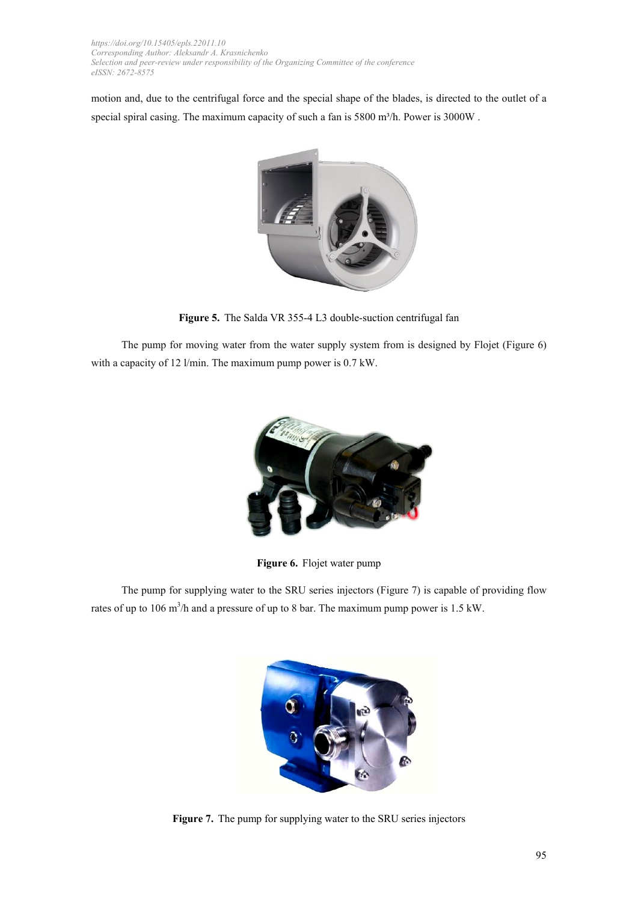motion and, due to the centrifugal force and the special shape of the blades, is directed to the outlet of a special spiral casing. The maximum capacity of such a fan is 5800 m<sup>3</sup>/h. Power is 3000W.

![](_page_9_Picture_2.jpeg)

**Figure 5.** The Salda VR 355-4 L3 double-suction centrifugal fan

The pump for moving water from the water supply system from is designed by Flojet (Figure 6) with a capacity of 12 l/min. The maximum pump power is 0.7 kW.

![](_page_9_Picture_5.jpeg)

**Figure 6.** Flojet water pump

The pump for supplying water to the SRU series injectors (Figure 7) is capable of providing flow rates of up to 106 m<sup>3</sup>/h and a pressure of up to 8 bar. The maximum pump power is 1.5 kW.

![](_page_9_Picture_8.jpeg)

**Figure 7.** The pump for supplying water to the SRU series injectors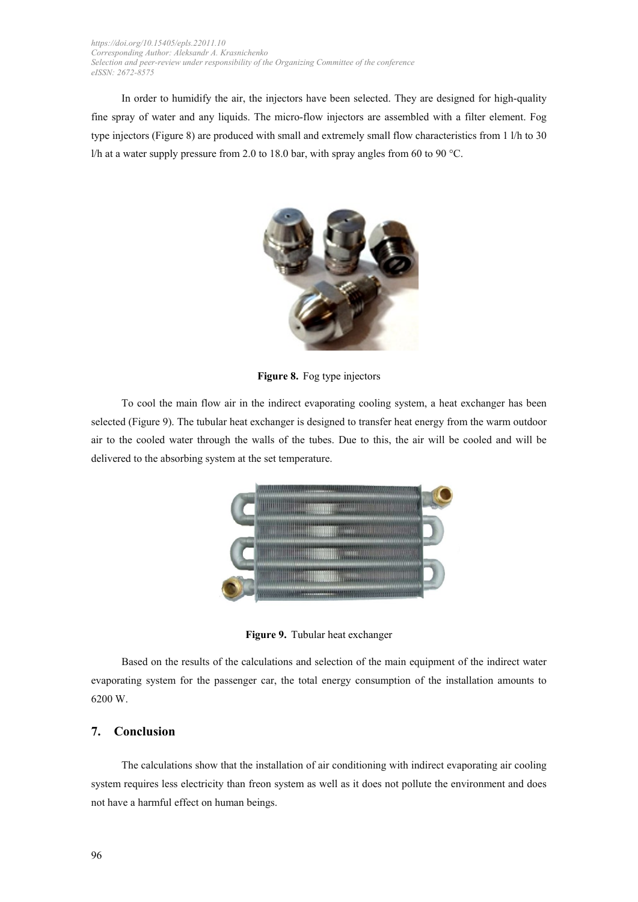In order to humidify the air, the injectors have been selected. They are designed for high-quality fine spray of water and any liquids. The micro-flow injectors are assembled with a filter element. Fog type injectors (Figure 8) are produced with small and extremely small flow characteristics from 1 l/h to 30 l/h at a water supply pressure from 2.0 to 18.0 bar, with spray angles from 60 to 90 °C.

![](_page_10_Picture_2.jpeg)

**Figure 8.** Fog type injectors

To cool the main flow air in the indirect evaporating cooling system, a heat exchanger has been selected (Figure 9). The tubular heat exchanger is designed to transfer heat energy from the warm outdoor air to the cooled water through the walls of the tubes. Due to this, the air will be cooled and will be delivered to the absorbing system at the set temperature.

![](_page_10_Picture_5.jpeg)

**Figure 9.** Tubular heat exchanger

Based on the results of the calculations and selection of the main equipment of the indirect water evaporating system for the passenger car, the total energy consumption of the installation amounts to 6200 W.

### **7. Conclusion**

The calculations show that the installation of air conditioning with indirect evaporating air cooling system requires less electricity than freon system as well as it does not pollute the environment and does not have a harmful effect on human beings.